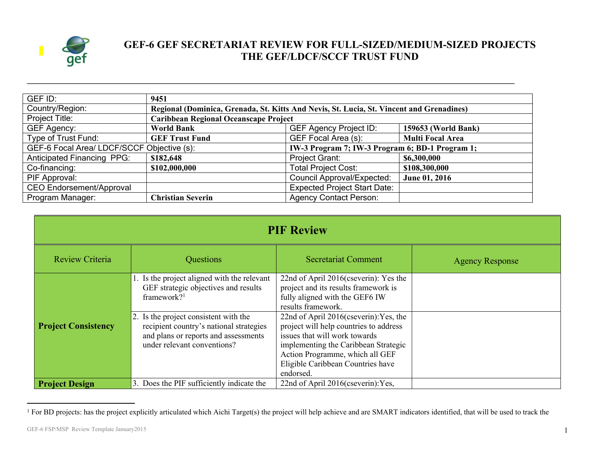

## **GEF-6 GEF SECRETARIAT REVIEW FOR FULL-SIZED/MEDIUM-SIZED PROJECTS THE GEF/LDCF/SCCF TRUST FUND**

| GEF ID:                                    | 9451                                                                                     |                                                 |                         |  |
|--------------------------------------------|------------------------------------------------------------------------------------------|-------------------------------------------------|-------------------------|--|
| Country/Region:                            | Regional (Dominica, Grenada, St. Kitts And Nevis, St. Lucia, St. Vincent and Grenadines) |                                                 |                         |  |
| Project Title:                             | Caribbean Regional Oceanscape Project                                                    |                                                 |                         |  |
| <b>GEF Agency:</b>                         | <b>World Bank</b>                                                                        | <b>GEF Agency Project ID:</b>                   | 159653 (World Bank)     |  |
| Type of Trust Fund:                        | <b>GEF Trust Fund</b>                                                                    | GEF Focal Area (s):                             | <b>Multi Focal Area</b> |  |
| GEF-6 Focal Area/ LDCF/SCCF Objective (s): |                                                                                          | IW-3 Program 7; IW-3 Program 6; BD-1 Program 1; |                         |  |
| Anticipated Financing PPG:                 | \$182,648                                                                                | <b>Project Grant:</b>                           | \$6,300,000             |  |
| Co-financing:                              | \$102,000,000                                                                            | <b>Total Project Cost:</b>                      | \$108,300,000           |  |
| PIF Approval:                              |                                                                                          | <b>Council Approval/Expected:</b>               | June 01, 2016           |  |
| <b>CEO Endorsement/Approval</b>            |                                                                                          | <b>Expected Project Start Date:</b>             |                         |  |
| Program Manager:                           | <b>Christian Severin</b>                                                                 | <b>Agency Contact Person:</b>                   |                         |  |

**\_\_\_\_\_\_\_\_\_\_\_\_\_\_\_\_\_\_\_\_\_\_\_\_\_\_\_\_\_\_\_\_\_\_\_\_\_\_\_\_\_\_\_\_\_\_\_\_\_\_\_\_\_\_\_\_\_\_\_\_\_\_\_\_\_\_\_\_\_\_\_\_\_\_\_\_\_\_\_\_\_\_\_\_\_\_\_\_\_\_\_\_\_\_\_\_\_\_\_\_\_\_\_\_\_\_\_\_\_\_\_\_\_\_\_\_\_\_**

| <b>PIF Review</b>          |                                                                                                                                                                                                                                                                           |                                                                                                                                                                                                                                                                                                                                                                                         |                        |
|----------------------------|---------------------------------------------------------------------------------------------------------------------------------------------------------------------------------------------------------------------------------------------------------------------------|-----------------------------------------------------------------------------------------------------------------------------------------------------------------------------------------------------------------------------------------------------------------------------------------------------------------------------------------------------------------------------------------|------------------------|
| Review Criteria            | Questions                                                                                                                                                                                                                                                                 | <b>Secretariat Comment</b>                                                                                                                                                                                                                                                                                                                                                              | <b>Agency Response</b> |
| <b>Project Consistency</b> | 1. Is the project aligned with the relevant<br>GEF strategic objectives and results<br>framework? <sup>1</sup><br>2. Is the project consistent with the<br>recipient country's national strategies<br>and plans or reports and assessments<br>under relevant conventions? | 22nd of April 2016(cseverin): Yes the<br>project and its results framework is<br>fully aligned with the GEF6 IW<br>results framework.<br>22nd of April 2016(cseverin): Yes, the<br>project will help countries to address<br>issues that will work towards<br>implementing the Caribbean Strategic<br>Action Programme, which all GEF<br>Eligible Caribbean Countries have<br>endorsed. |                        |
| <b>Project Design</b>      | 3. Does the PIF sufficiently indicate the                                                                                                                                                                                                                                 | 22nd of April 2016(cseverin): Yes,                                                                                                                                                                                                                                                                                                                                                      |                        |

<sup>&</sup>lt;sup>1</sup> For BD projects: has the project explicitly articulated which Aichi Target(s) the project will help achieve and are SMART indicators identified, that will be used to track the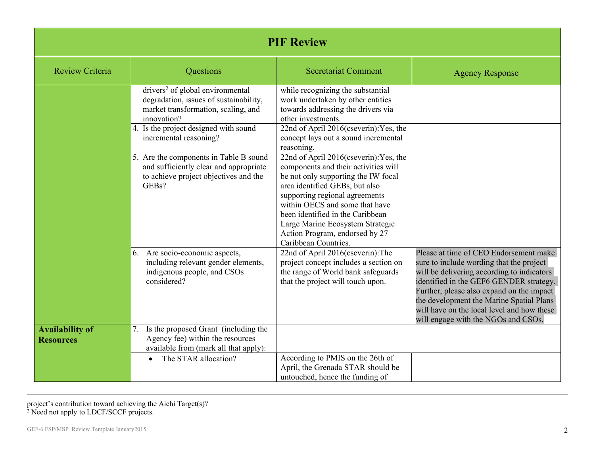| <b>PIF Review</b>                          |                                                                                                                                                                                                                 |                                                                                                                                                                                                                                                                                                                                                               |                                                                                                                                                                                                                                                                                                                                                           |
|--------------------------------------------|-----------------------------------------------------------------------------------------------------------------------------------------------------------------------------------------------------------------|---------------------------------------------------------------------------------------------------------------------------------------------------------------------------------------------------------------------------------------------------------------------------------------------------------------------------------------------------------------|-----------------------------------------------------------------------------------------------------------------------------------------------------------------------------------------------------------------------------------------------------------------------------------------------------------------------------------------------------------|
| <b>Review Criteria</b>                     | Questions                                                                                                                                                                                                       | <b>Secretariat Comment</b>                                                                                                                                                                                                                                                                                                                                    | <b>Agency Response</b>                                                                                                                                                                                                                                                                                                                                    |
|                                            | drivers <sup>2</sup> of global environmental<br>degradation, issues of sustainability,<br>market transformation, scaling, and<br>innovation?<br>4. Is the project designed with sound<br>incremental reasoning? | while recognizing the substantial<br>work undertaken by other entities<br>towards addressing the drivers via<br>other investments.<br>22nd of April 2016(cseverin): Yes, the<br>concept lays out a sound incremental<br>reasoning.                                                                                                                            |                                                                                                                                                                                                                                                                                                                                                           |
|                                            | 5. Are the components in Table B sound<br>and sufficiently clear and appropriate<br>to achieve project objectives and the<br>GEB <sub>s</sub> ?                                                                 | 22nd of April 2016(cseverin): Yes, the<br>components and their activities will<br>be not only supporting the IW focal<br>area identified GEBs, but also<br>supporting regional agreements<br>within OECS and some that have<br>been identified in the Caribbean<br>Large Marine Ecosystem Strategic<br>Action Program, endorsed by 27<br>Caribbean Countries. |                                                                                                                                                                                                                                                                                                                                                           |
|                                            | Are socio-economic aspects,<br>6.<br>including relevant gender elements,<br>indigenous people, and CSOs<br>considered?                                                                                          | 22nd of April 2016(cseverin): The<br>project concept includes a section on<br>the range of World bank safeguards<br>that the project will touch upon.                                                                                                                                                                                                         | Please at time of CEO Endorsement make<br>sure to include wording that the project<br>will be delivering according to indicators<br>identified in the GEF6 GENDER strategy.<br>Further, please also expand on the impact<br>the development the Marine Spatial Plans<br>will have on the local level and how these<br>will engage with the NGOs and CSOs. |
| <b>Availability of</b><br><b>Resources</b> | 7.<br>Is the proposed Grant (including the<br>Agency fee) within the resources<br>available from (mark all that apply):<br>The STAR allocation?<br>$\bullet$                                                    | According to PMIS on the 26th of<br>April, the Grenada STAR should be                                                                                                                                                                                                                                                                                         |                                                                                                                                                                                                                                                                                                                                                           |
|                                            |                                                                                                                                                                                                                 | untouched, hence the funding of                                                                                                                                                                                                                                                                                                                               |                                                                                                                                                                                                                                                                                                                                                           |

project's contribution toward achieving the Aichi Target(s)? <sup>2</sup> Need not apply to LDCF/SCCF projects.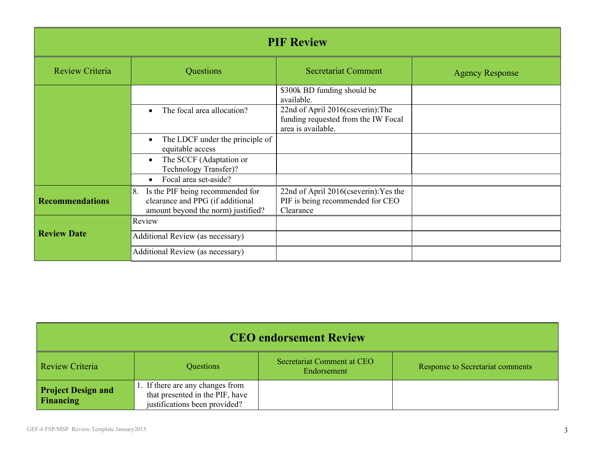| <b>PIF Review</b>      |                                                                                                                                                                         |                                                                                                                                             |                        |
|------------------------|-------------------------------------------------------------------------------------------------------------------------------------------------------------------------|---------------------------------------------------------------------------------------------------------------------------------------------|------------------------|
| <b>Review Criteria</b> | Questions                                                                                                                                                               | <b>Secretariat Comment</b>                                                                                                                  | <b>Agency Response</b> |
|                        | The focal area allocation?<br>$\bullet$                                                                                                                                 | \$300k BD funding should be<br>available.<br>22nd of April 2016(cseverin): The<br>funding requested from the IW Focal<br>area is available. |                        |
|                        | The LDCF under the principle of<br>$\bullet$<br>equitable access<br>The SCCF (Adaptation or<br>$\bullet$<br>Technology Transfer)?<br>Focal area set-aside?<br>$\bullet$ |                                                                                                                                             |                        |
| <b>Recommendations</b> | Is the PIF being recommended for<br>8.<br>clearance and PPG (if additional<br>amount beyond the norm) justified?                                                        | 22nd of April 2016(cseverin): Yes the<br>PIF is being recommended for CEO<br>Clearance                                                      |                        |
| <b>Review Date</b>     | Review<br>Additional Review (as necessary)<br>Additional Review (as necessary)                                                                                          |                                                                                                                                             |                        |

| <b>CEO</b> endorsement Review          |                                                                                                      |                                           |                                  |
|----------------------------------------|------------------------------------------------------------------------------------------------------|-------------------------------------------|----------------------------------|
| <b>Review Criteria</b>                 | Questions                                                                                            | Secretariat Comment at CEO<br>Endorsement | Response to Secretariat comments |
| <b>Project Design and</b><br>Financing | 1. If there are any changes from<br>that presented in the PIF, have<br>justifications been provided? |                                           |                                  |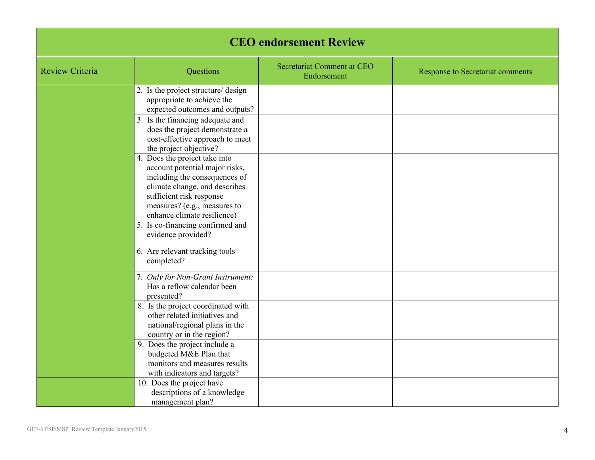| <b>CEO</b> endorsement Review |                                                                                                                                                                                                                              |                                           |                                  |  |
|-------------------------------|------------------------------------------------------------------------------------------------------------------------------------------------------------------------------------------------------------------------------|-------------------------------------------|----------------------------------|--|
| <b>Review Criteria</b>        | Questions                                                                                                                                                                                                                    | Secretariat Comment at CEO<br>Endorsement | Response to Secretariat comments |  |
|                               | 2. Is the project structure/ design<br>appropriate to achieve the<br>expected outcomes and outputs?                                                                                                                          |                                           |                                  |  |
|                               | 3. Is the financing adequate and<br>does the project demonstrate a<br>cost-effective approach to meet<br>the project objective?                                                                                              |                                           |                                  |  |
|                               | 4. Does the project take into<br>account potential major risks,<br>including the consequences of<br>climate change, and describes<br>sufficient risk response<br>measures? (e.g., measures to<br>enhance climate resilience) |                                           |                                  |  |
|                               | 5. Is co-financing confirmed and<br>evidence provided?                                                                                                                                                                       |                                           |                                  |  |
|                               | $\overline{6}$ . Are relevant tracking tools<br>completed?                                                                                                                                                                   |                                           |                                  |  |
|                               | 7. Only for Non-Grant Instrument:<br>Has a reflow calendar been<br>presented?                                                                                                                                                |                                           |                                  |  |
|                               | 8. Is the project coordinated with<br>other related initiatives and<br>national/regional plans in the<br>country or in the region?                                                                                           |                                           |                                  |  |
|                               | 9. Does the project include a<br>budgeted M&E Plan that<br>monitors and measures results<br>with indicators and targets?                                                                                                     |                                           |                                  |  |
|                               | 10. Does the project have<br>descriptions of a knowledge<br>management plan?                                                                                                                                                 |                                           |                                  |  |